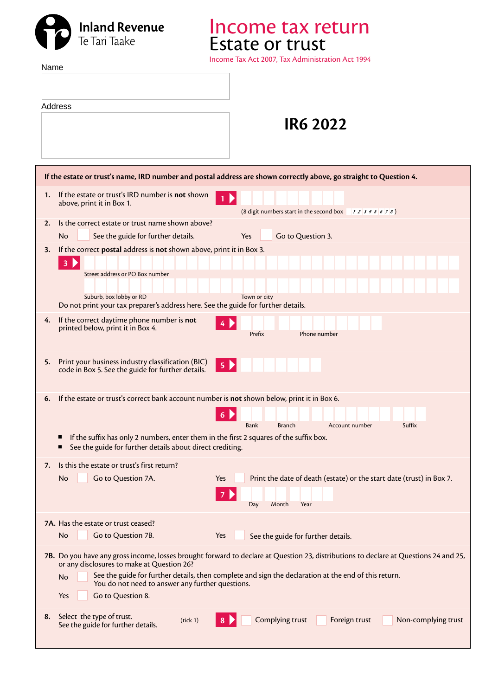

Income tax return Estate or trust

Income Tax Act 2007, Tax Administration Act 1994

| Name |                                                                                                                                                                                                  |
|------|--------------------------------------------------------------------------------------------------------------------------------------------------------------------------------------------------|
|      |                                                                                                                                                                                                  |
|      |                                                                                                                                                                                                  |
|      | Address                                                                                                                                                                                          |
|      | <b>IR6 2022</b>                                                                                                                                                                                  |
|      |                                                                                                                                                                                                  |
|      |                                                                                                                                                                                                  |
|      | If the estate or trust's name, IRD number and postal address are shown correctly above, go straight to Question 4.                                                                               |
| 1.   | If the estate or trust's IRD number is not shown<br>$1 \triangleright$<br>above, print it in Box 1.<br>(8 digit numbers start in the second box $\begin{array}{c} 1234567 \\ 234567 \end{array}$ |
| 2.   | Is the correct estate or trust name shown above?                                                                                                                                                 |
|      | Go to Question 3.<br>Yes<br>No<br>See the guide for further details.                                                                                                                             |
| 3.   | If the correct postal address is not shown above, print it in Box 3.                                                                                                                             |
|      | 3 <sup>2</sup>                                                                                                                                                                                   |
|      | Street address or PO Box number                                                                                                                                                                  |
|      | Suburb, box lobby or RD<br>Town or city                                                                                                                                                          |
|      | Do not print your tax preparer's address here. See the guide for further details.                                                                                                                |
| 4.   | If the correct daytime phone number is not                                                                                                                                                       |
|      | printed below, print it in Box 4.<br>Phone number<br>Prefix                                                                                                                                      |
|      |                                                                                                                                                                                                  |
| 5.   | Print your business industry classification (BIC)<br>5 <sup>2</sup><br>code in Box 5. See the guide for further details.                                                                         |
|      |                                                                                                                                                                                                  |
| 6.   | If the estate or trust's correct bank account number is not shown below, print it in Box 6.                                                                                                      |
|      | 6                                                                                                                                                                                                |
|      | <b>Branch</b><br>Account number<br>Suffix<br>Bank                                                                                                                                                |
|      | If the suffix has only 2 numbers, enter them in the first 2 squares of the suffix box.<br>п                                                                                                      |
|      | See the guide for further details about direct crediting.                                                                                                                                        |
| 7.   | Is this the estate or trust's first return?                                                                                                                                                      |
|      | Print the date of death (estate) or the start date (trust) in Box 7.<br>Go to Question 7A.<br>Yes<br>No                                                                                          |
|      | Month<br>Year<br>Day                                                                                                                                                                             |
|      |                                                                                                                                                                                                  |
|      | 7A. Has the estate or trust ceased?                                                                                                                                                              |
|      | Go to Question 7B.<br>No<br>Yes<br>See the guide for further details.                                                                                                                            |
|      | 7B. Do you have any gross income, losses brought forward to declare at Question 23, distributions to declare at Questions 24 and 25,                                                             |
|      | or any disclosures to make at Question 26?<br>See the guide for further details, then complete and sign the declaration at the end of this return.<br>No                                         |
|      | You do not need to answer any further questions.                                                                                                                                                 |
|      | Yes<br>Go to Question 8.                                                                                                                                                                         |
| 8.   | Select the type of trust.<br>Complying trust<br>Foreign trust<br>Non-complying trust<br>(tick 1)<br>8                                                                                            |
|      | See the guide for further details.                                                                                                                                                               |
|      |                                                                                                                                                                                                  |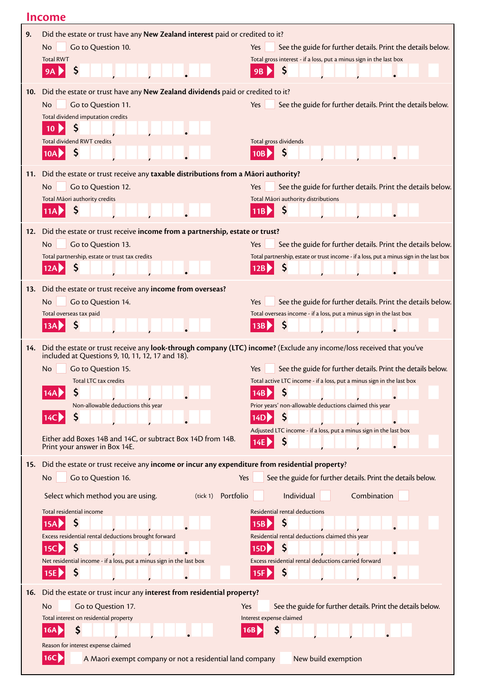|     | Income                                                                                                                                                                                                                                                                                                                                                                                                     |                                                                                                                                                                                                                                                                                                                           |
|-----|------------------------------------------------------------------------------------------------------------------------------------------------------------------------------------------------------------------------------------------------------------------------------------------------------------------------------------------------------------------------------------------------------------|---------------------------------------------------------------------------------------------------------------------------------------------------------------------------------------------------------------------------------------------------------------------------------------------------------------------------|
| 9.  | Did the estate or trust have any New Zealand interest paid or credited to it?<br><b>No</b><br>Go to Question 10.<br><b>Total RWT</b><br>Ş<br>9Α                                                                                                                                                                                                                                                            | Yes<br>See the guide for further details. Print the details below.<br>Total gross interest - if a loss, put a minus sign in the last box<br>9B                                                                                                                                                                            |
| 10. | Did the estate or trust have any New Zealand dividends paid or credited to it?<br>Go to Question 11.<br>No.<br>Total dividend imputation credits<br>\$<br>10<br><b>Total dividend RWT credits</b><br>Ş<br>10AP                                                                                                                                                                                             | Yes<br>See the guide for further details. Print the details below.<br>Total gross dividends<br>Ş<br>10B P                                                                                                                                                                                                                 |
| 11. | Did the estate or trust receive any taxable distributions from a Māori authority?<br>Go to Question 12.<br>No.<br>Total Māori authority credits<br>Ş<br>11A                                                                                                                                                                                                                                                | Yes<br>See the guide for further details. Print the details below.<br>Total Māori authority distributions<br>\$<br>11B                                                                                                                                                                                                    |
| 12. | Did the estate or trust receive income from a partnership, estate or trust?<br>Go to Question 13.<br>No.<br>Total partnership, estate or trust tax credits<br>Ş<br>12AP                                                                                                                                                                                                                                    | Yes<br>See the guide for further details. Print the details below.<br>Total partnership, estate or trust income - if a loss, put a minus sign in the last box<br>Ş<br>12B                                                                                                                                                 |
| 13. | Did the estate or trust receive any income from overseas?<br>Go to Question 14.<br>No.<br>Total overseas tax paid<br>13A                                                                                                                                                                                                                                                                                   | Yes<br>See the guide for further details. Print the details below.<br>Total overseas income - if a loss, put a minus sign in the last box<br>\$<br>13B                                                                                                                                                                    |
| 14. | Did the estate or trust receive any look-through company (LTC) income? (Exclude any income/loss received that you've<br>included at Questions 9, 10, 11, 12, 17 and 18).<br><b>No</b><br>Go to Question 15.<br>Total LTC tax credits<br>Non-allowable deductions this year<br>Ş<br>14C<br>Either add Boxes 14B and 14C, or subtract Box 14D from 14B.<br>Print your answer in Box 14E.                     | See the guide for further details. Print the details below.<br><b>Yes</b><br>Total active LTC income - if a loss, put a minus sign in the last box<br>\$<br>14B<br>Prior years' non-allowable deductions claimed this year<br>\$<br>14D<br>Adjusted LTC income - if a loss, put a minus sign in the last box<br>\$<br>14E |
| 15. | Did the estate or trust receive any income or incur any expenditure from residential property?<br>Go to Question 16.<br><b>No</b><br>Yes<br>Portfolio<br>Select which method you are using.<br>(tick 1)<br>Total residential income<br>\$<br>15A<br>Excess residential rental deductions brought forward<br>15C<br>\$<br>Net residential income - if a loss, put a minus sign in the last box<br>\$<br>15E | See the guide for further details. Print the details below.<br>Individual<br>Combination<br>Residential rental deductions<br>\$<br>15B<br>Residential rental deductions claimed this year<br>\$<br>15D<br>Excess residential rental deductions carried forward<br>\$<br>15F $\triangleright$                              |
| 16. | Did the estate or trust incur any interest from residential property?<br><b>No</b><br>Go to Question 17.<br>Yes<br>Total interest on residential property<br>\$<br>16A<br>Reason for interest expense claimed<br>16C<br>A Maori exempt company or not a residential land company                                                                                                                           | See the guide for further details. Print the details below.<br>Interest expense claimed<br>\$<br>16B<br>New build exemption                                                                                                                                                                                               |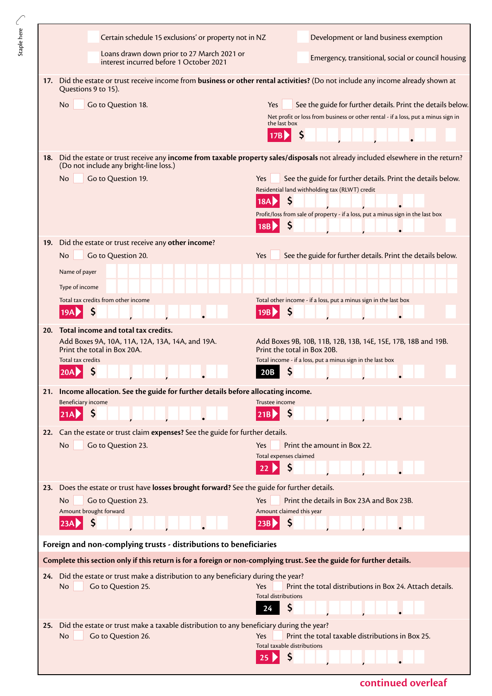|     | Certain schedule 15 exclusions' or property not in NZ                                                                 | Development or land business exemption                                                                                                                                  |
|-----|-----------------------------------------------------------------------------------------------------------------------|-------------------------------------------------------------------------------------------------------------------------------------------------------------------------|
|     | Loans drawn down prior to 27 March 2021 or<br>interest incurred before 1 October 2021                                 | Emergency, transitional, social or council housing                                                                                                                      |
| 17. | Questions 9 to 15).                                                                                                   | Did the estate or trust receive income from business or other rental activities? (Do not include any income already shown at                                            |
|     | Go to Question 18.<br><b>No</b>                                                                                       | Yes<br>See the guide for further details. Print the details below.<br>Net profit or loss from business or other rental - if a loss, put a minus sign in<br>the last box |
|     |                                                                                                                       | \$<br>17B                                                                                                                                                               |
| 18. | (Do not include any bright-line loss.)                                                                                | Did the estate or trust receive any income from taxable property sales/disposals not already included elsewhere in the return?                                          |
|     | No.<br>Go to Question 19.                                                                                             | See the guide for further details. Print the details below.<br>Yes<br>Residential land withholding tax (RLWT) credit<br>\$<br>18A                                       |
|     |                                                                                                                       | Profit/loss from sale of property - if a loss, put a minus sign in the last box<br>\$<br><b>18B</b>                                                                     |
| 19. | Did the estate or trust receive any other income?                                                                     |                                                                                                                                                                         |
|     | <b>No</b><br>Go to Question 20.                                                                                       | Yes<br>See the guide for further details. Print the details below.                                                                                                      |
|     | Name of payer<br>Type of income                                                                                       |                                                                                                                                                                         |
|     | Total tax credits from other income                                                                                   | Total other income - if a loss, put a minus sign in the last box                                                                                                        |
|     | Ş                                                                                                                     | \$<br>19B                                                                                                                                                               |
| 20. | Total income and total tax credits.                                                                                   |                                                                                                                                                                         |
|     | Add Boxes 9A, 10A, 11A, 12A, 13A, 14A, and 19A.<br>Print the total in Box 20A.                                        | Add Boxes 9B, 10B, 11B, 12B, 13B, 14E, 15E, 17B, 18B and 19B.<br>Print the total in Box 20B.                                                                            |
|     | Total tax credits<br>Ş<br>20A                                                                                         | Total income - if a loss, put a minus sign in the last box<br>\$<br>20B                                                                                                 |
|     | 21. Income allocation. See the guide for further details before allocating income.                                    |                                                                                                                                                                         |
|     | <b>Beneficiary income</b><br>\$<br>21A                                                                                | Trustee income<br>21B                                                                                                                                                   |
| 22. | Can the estate or trust claim expenses? See the guide for further details.                                            |                                                                                                                                                                         |
|     | Go to Question 23.<br>No                                                                                              | Print the amount in Box 22.<br>Yes<br>Total expenses claimed                                                                                                            |
|     |                                                                                                                       | Ş<br>22                                                                                                                                                                 |
| 23. | Does the estate or trust have losses brought forward? See the guide for further details.                              |                                                                                                                                                                         |
|     | Go to Question 23.<br>No.<br>Amount brought forward                                                                   | Print the details in Box 23A and Box 23B.<br>Yes<br>Amount claimed this year                                                                                            |
|     | \$<br>23A                                                                                                             | \$<br>23B                                                                                                                                                               |
|     | Foreign and non-complying trusts - distributions to beneficiaries                                                     |                                                                                                                                                                         |
|     | Complete this section only if this return is for a foreign or non-complying trust. See the guide for further details. |                                                                                                                                                                         |
|     | 24. Did the estate or trust make a distribution to any beneficiary during the year?                                   |                                                                                                                                                                         |
|     | Go to Question 25.<br><b>No</b>                                                                                       | Print the total distributions in Box 24. Attach details.<br>Yes<br><b>Total distributions</b><br>\$<br>24                                                               |
|     | Did the estate or trust make a taxable distribution to any beneficiary during the year?                               |                                                                                                                                                                         |
| 25. | Go to Question 26.<br>No                                                                                              | Print the total taxable distributions in Box 25.<br><b>Yes</b>                                                                                                          |
|     |                                                                                                                       | Total taxable distributions                                                                                                                                             |
|     |                                                                                                                       |                                                                                                                                                                         |

Staple here  $\searrow$ 

**continued overleaf**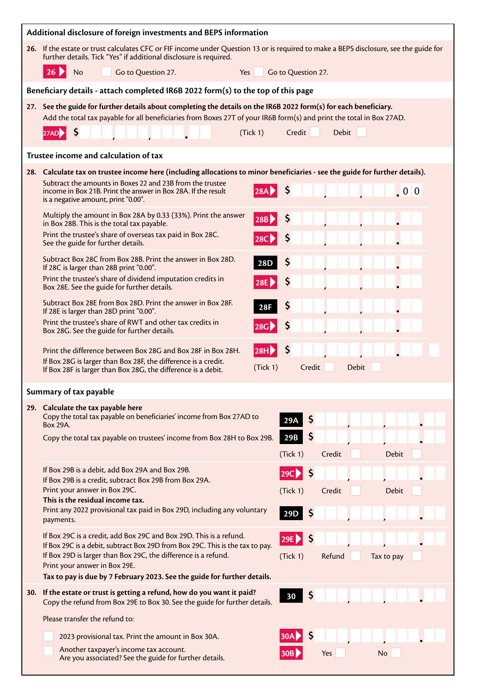| Additional disclosure of foreign investments and BEPS information |                                                                                                                                                                                                                                                                           |            |                       |              |              |  |
|-------------------------------------------------------------------|---------------------------------------------------------------------------------------------------------------------------------------------------------------------------------------------------------------------------------------------------------------------------|------------|-----------------------|--------------|--------------|--|
|                                                                   | 26. If the estate or trust calculates CFC or FIF income under Question 13 or is required to make a BEPS disclosure, see the guide for<br>further details. Tick "Yes" if additional disclosure is required.                                                                |            |                       |              |              |  |
|                                                                   | $26 \blacktriangleright$<br>No<br>Go to Question 27.<br>Yes                                                                                                                                                                                                               |            | Go to Question 27.    |              |              |  |
|                                                                   | Beneficiary details - attach completed IR6B 2022 form(s) to the top of this page                                                                                                                                                                                          |            |                       |              |              |  |
|                                                                   | 27. See the guide for further details about completing the details on the IR6B 2022 form(s) for each beneficiary.<br>Add the total tax payable for all beneficiaries from Boxes 27T of your IR6B form(s) and print the total in Box 27AD.<br>S<br>(Tick 1)<br><b>27AD</b> |            | Credit                | <b>Debit</b> |              |  |
|                                                                   | Trustee income and calculation of tax                                                                                                                                                                                                                                     |            |                       |              |              |  |
|                                                                   | 28. Calculate tax on trustee income here (including allocations to minor beneficiaries - see the guide for further details).                                                                                                                                              |            |                       |              |              |  |
|                                                                   | Subtract the amounts in Boxes 22 and 23B from the trustee<br>income in Box 21B. Print the answer in Box 28A. If the result<br>is a negative amount, print "0.00".                                                                                                         |            | Ş                     |              | .00          |  |
|                                                                   | Multiply the amount in Box 28A by 0.33 (33%). Print the answer<br>in Box 28B. This is the total tax payable.                                                                                                                                                              | <b>28B</b> | \$                    |              |              |  |
|                                                                   | Print the trustee's share of overseas tax paid in Box 28C.<br>See the guide for further details.                                                                                                                                                                          |            | Ş                     |              |              |  |
|                                                                   | Subtract Box 28C from Box 28B. Print the answer in Box 28D.<br>If 28C is larger than 28B print "0.00".                                                                                                                                                                    | <b>28D</b> | Ş                     |              |              |  |
|                                                                   | Print the trustee's share of dividend imputation credits in<br>Box 28E. See the guide for further details.                                                                                                                                                                |            | Ş                     |              |              |  |
|                                                                   | Subtract Box 28E from Box 28D. Print the answer in Box 28F.<br>If 28E is larger than 28D print "0.00".                                                                                                                                                                    | 28F        | \$                    |              |              |  |
|                                                                   | Print the trustee's share of RWT and other tax credits in<br>Box 28G. See the guide for further details.                                                                                                                                                                  |            | \$                    |              |              |  |
|                                                                   | Print the difference between Box 28G and Box 28F in Box 28H.<br>If Box 28G is larger than Box 28F, the difference is a credit.<br>If Box 28F is larger than Box 28G, the difference is a debit.                                                                           | (Tick 1)   | \$<br>Credit          | Debit        |              |  |
| Summary of tax payable                                            |                                                                                                                                                                                                                                                                           |            |                       |              |              |  |
|                                                                   | 29. Calculate the tax payable here<br>Copy the total tax payable on beneficiaries' income from Box 27AD to<br>Box 29A.                                                                                                                                                    |            | \$<br>29A             |              |              |  |
|                                                                   | Copy the total tax payable on trustees' income from Box 28H to Box 29B.                                                                                                                                                                                                   |            | \$<br>29B             |              | <b>Debit</b> |  |
|                                                                   | If Box 29B is a debit, add Box 29A and Box 29B.                                                                                                                                                                                                                           |            | (Tick 1)              | Credit       |              |  |
|                                                                   | If Box 29B is a credit, subtract Box 29B from Box 29A.<br>Print your answer in Box 29C.                                                                                                                                                                                   |            | \$<br>29C<br>(Tick 1) | Credit       | <b>Debit</b> |  |
|                                                                   | This is the residual income tax.                                                                                                                                                                                                                                          |            |                       |              |              |  |
|                                                                   | Print any 2022 provisional tax paid in Box 29D, including any voluntary<br>payments.                                                                                                                                                                                      |            | Ş<br>29D              |              |              |  |
|                                                                   | If Box 29C is a credit, add Box 29C and Box 29D. This is a refund.<br>If Box 29C is a debit, subtract Box 29D from Box 29C. This is the tax to pay.                                                                                                                       |            | \$<br>29E             |              |              |  |
|                                                                   | If Box 29D is larger than Box 29C, the difference is a refund.<br>Print your answer in Box 29E.                                                                                                                                                                           |            | (Tick 1)              | Refund       | Tax to pay   |  |
|                                                                   | Tax to pay is due by 7 February 2023. See the guide for further details.                                                                                                                                                                                                  |            |                       |              |              |  |
| <b>30.</b>                                                        | If the estate or trust is getting a refund, how do you want it paid?<br>Copy the refund from Box 29E to Box 30. See the guide for further details.                                                                                                                        |            | \$<br>30              |              |              |  |
|                                                                   | Please transfer the refund to:                                                                                                                                                                                                                                            |            |                       |              |              |  |
|                                                                   | 2023 provisional tax. Print the amount in Box 30A.<br>Another taxpayer's income tax account.                                                                                                                                                                              |            | \$                    |              |              |  |
|                                                                   | Are you associated? See the guide for further details.                                                                                                                                                                                                                    |            | 30B                   | Yes          | No           |  |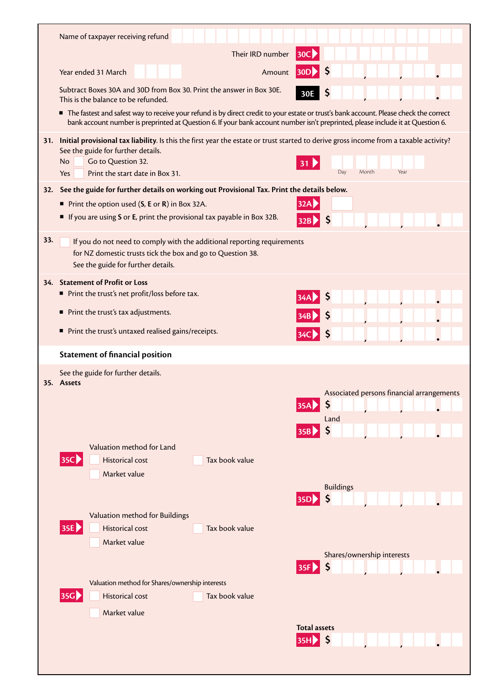|     | Name of taxpayer receiving refund                                                                                                                                                                                                                                         |                                                                                                        |
|-----|---------------------------------------------------------------------------------------------------------------------------------------------------------------------------------------------------------------------------------------------------------------------------|--------------------------------------------------------------------------------------------------------|
|     | Their IRD number                                                                                                                                                                                                                                                          | <b>30C</b>                                                                                             |
|     | Year ended 31 March<br>Amount                                                                                                                                                                                                                                             | <b>30D</b>                                                                                             |
|     | Subtract Boxes 30A and 30D from Box 30. Print the answer in Box 30E.<br>This is the balance to be refunded.                                                                                                                                                               | 30E                                                                                                    |
|     | The fastest and safest way to receive your refund is by direct credit to your estate or trust's bank account. Please check the correct<br>bank account number is preprinted at Question 6. If your bank account number isn't preprinted, please include it at Question 6. |                                                                                                        |
| 31. | Initial provisional tax liability. Is this the first year the estate or trust started to derive gross income from a taxable activity?                                                                                                                                     |                                                                                                        |
|     | See the guide for further details.<br>Go to Question 32.<br><b>No</b>                                                                                                                                                                                                     | -31                                                                                                    |
|     | Print the start date in Box 31.<br>Yes                                                                                                                                                                                                                                    | Month<br>Day<br>Year                                                                                   |
| 32. | See the guide for further details on working out Provisional Tax. Print the details below.                                                                                                                                                                                |                                                                                                        |
|     | Print the option used $(S, E \text{ or } R)$ in Box 32A.<br>If you are using S or E, print the provisional tax payable in Box 32B.                                                                                                                                        | 32AD<br>\$,<br>32B                                                                                     |
| 33. | If you do not need to comply with the additional reporting requirements<br>for NZ domestic trusts tick the box and go to Question 38.<br>See the guide for further details.                                                                                               |                                                                                                        |
|     | 34. Statement of Profit or Loss                                                                                                                                                                                                                                           |                                                                                                        |
|     | Print the trust's net profit/loss before tax.                                                                                                                                                                                                                             |                                                                                                        |
|     | Print the trust's tax adjustments.                                                                                                                                                                                                                                        |                                                                                                        |
|     | Print the trust's untaxed realised gains/receipts.<br>ш                                                                                                                                                                                                                   |                                                                                                        |
|     | <b>Statement of financial position</b>                                                                                                                                                                                                                                    |                                                                                                        |
|     | See the guide for further details.<br>35. Assets<br>Valuation method for Land<br>35C<br><b>Historical cost</b><br>Tax book value<br>Market value<br>Valuation method for Buildings<br>35E<br><b>Historical cost</b><br>Tax book value                                     | Associated persons financial arrangements<br>\$<br>Land<br>\$<br>35B<br><b>Buildings</b><br><b>35D</b> |
|     | Market value                                                                                                                                                                                                                                                              | Shares/ownership interests<br>\$<br><b>35F</b>                                                         |
|     | Valuation method for Shares/ownership interests<br>35G)<br><b>Historical cost</b><br>Tax book value<br>Market value                                                                                                                                                       |                                                                                                        |
|     |                                                                                                                                                                                                                                                                           | <b>Total assets</b><br><b>35HD</b>                                                                     |